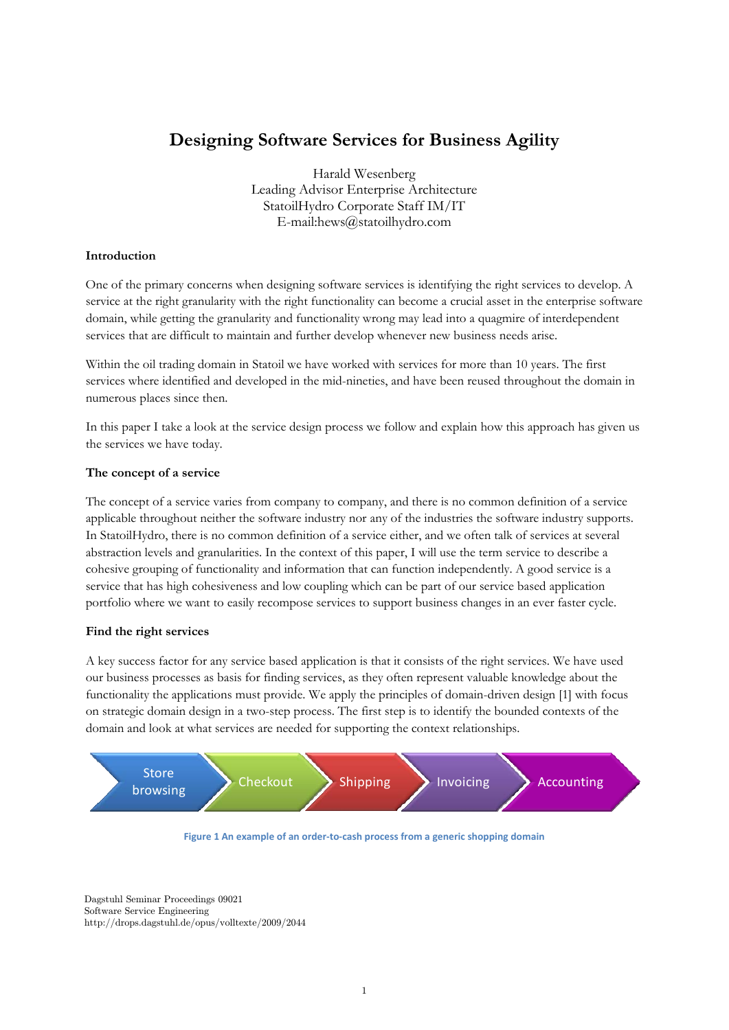# **Designing Software Services for Business Agility**

Harald Wesenberg Leading Advisor Enterprise Architecture StatoilHydro Corporate Staff IM/IT E-mail:hews@statoilhydro.com

## **Introduction**

One of the primary concerns when designing software services is identifying the right services to develop. A service at the right granularity with the right functionality can become a crucial asset in the enterprise software domain, while getting the granularity and functionality wrong may lead into a quagmire of interdependent services that are difficult to maintain and further develop whenever new business needs arise.

Within the oil trading domain in Statoil we have worked with services for more than 10 years. The first services where identified and developed in the mid-nineties, and have been reused throughout the domain in numerous places since then.

In this paper I take a look at the service design process we follow and explain how this approach has given us the services we have today.

## **The concept of a service**

The concept of a service varies from company to company, and there is no common definition of a service applicable throughout neither the software industry nor any of the industries the software industry supports. In StatoilHydro, there is no common definition of a service either, and we often talk of services at several abstraction levels and granularities. In the context of this paper, I will use the term service to describe a cohesive grouping of functionality and information that can function independently. A good service is a service that has high cohesiveness and low coupling which can be part of our service based application portfolio where we want to easily recompose services to support business changes in an ever faster cycle.

## **Find the right services**

A key success factor for any service based application is that it consists of the right services. We have used our business processes as basis for finding services, as they often represent valuable knowledge about the functionality the applications must provide. We apply the principles of domain-driven design [1] with focus on strategic domain design in a two-step process. The first step is to identify the bounded contexts of the domain and look at what services are needed for supporting the context relationships.



**Figure 1 An example of an order‐to‐cash process from a generic shopping domain**

Dagstuhl Seminar Proceedings 09021 Software Service Engineering http://drops.dagstuhl.de/opus/volltexte/2009/2044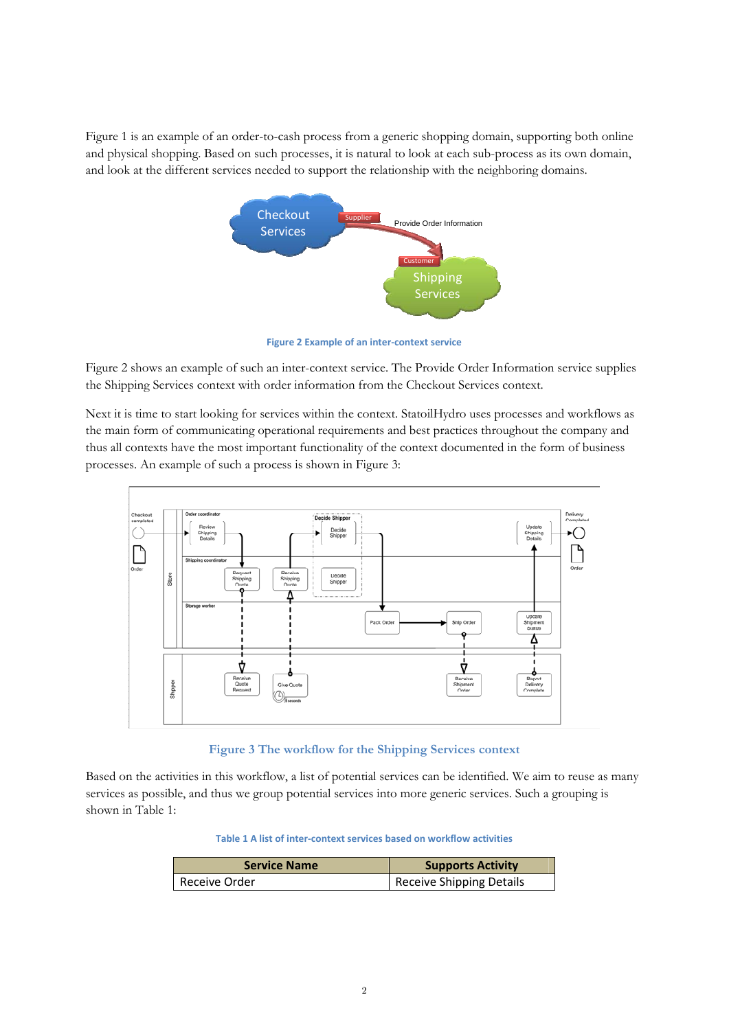Figure 1 is an example of an order-to-cash process from a generic shopping domain, supporting both online and physical shopping. Based on such processes, it is natural to look at each sub-process as its own domain, and look at the different services needed to support the relationship with the neighboring domains.



**Figure 2 Example of an inter‐context service**

Figure 2 shows an example of such an inter-context service. The Provide Order Information service supplies the Shipping Services context with order information from the Checkout Services context.

Next it is time to start looking for services within the context. StatoilHydro uses processes and workflows as the main form of communicating operational requirements and best practices throughout the company and thus all contexts have the most important functionality of the context documented in the form of business processes. An example of such a process is shown in Figure 3:



**Figure 3 The workflow for the Shipping Services context** 

Based on the activities in this workflow, a list of potential services can be identified. We aim to reuse as many services as possible, and thus we group potential services into more generic services. Such a grouping is shown in Table 1:

**Table 1 A list of inter‐context services based on workflow activities**

| <b>Service Name</b> | <b>Supports Activity</b>        |
|---------------------|---------------------------------|
| Receive Order       | <b>Receive Shipping Details</b> |